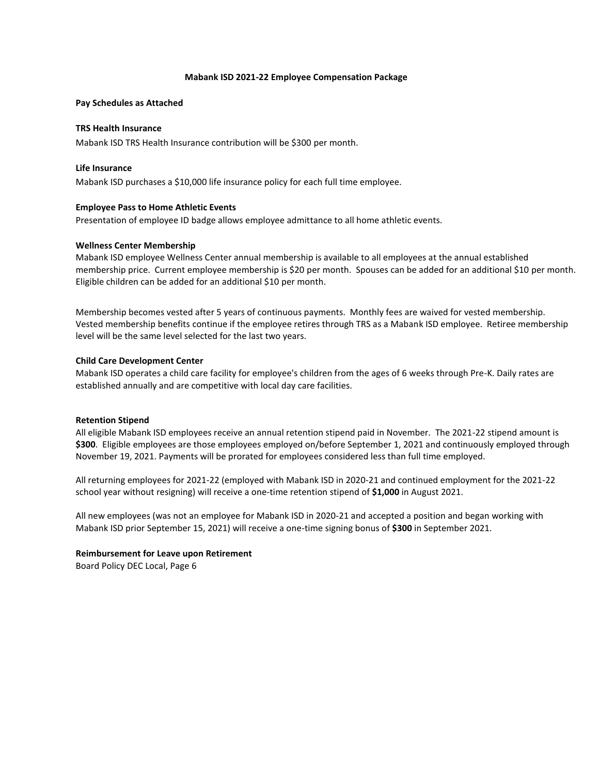## **Mabank ISD 2021-22 Employee Compensation Package**

## **Pay Schedules as Attached**

# **TRS Health Insurance**

Mabank ISD TRS Health Insurance contribution will be \$300 per month.

## **Life Insurance**

Mabank ISD purchases a \$10,000 life insurance policy for each full time employee.

## **Employee Pass to Home Athletic Events**

Presentation of employee ID badge allows employee admittance to all home athletic events.

## **Wellness Center Membership**

Mabank ISD employee Wellness Center annual membership is available to all employees at the annual established membership price. Current employee membership is \$20 per month. Spouses can be added for an additional \$10 per month. Eligible children can be added for an additional \$10 per month.

Membership becomes vested after 5 years of continuous payments. Monthly fees are waived for vested membership. Vested membership benefits continue if the employee retires through TRS as a Mabank ISD employee. Retiree membership level will be the same level selected for the last two years.

## **Child Care Development Center**

Mabank ISD operates a child care facility for employee's children from the ages of 6 weeks through Pre-K. Daily rates are established annually and are competitive with local day care facilities.

## **Retention Stipend**

All eligible Mabank ISD employees receive an annual retention stipend paid in November. The 2021-22 stipend amount is **\$300**. Eligible employees are those employees employed on/before September 1, 2021 and continuously employed through November 19, 2021. Payments will be prorated for employees considered less than full time employed.

All returning employees for 2021-22 (employed with Mabank ISD in 2020-21 and continued employment for the 2021-22 school year without resigning) will receive a one-time retention stipend of **\$1,000** in August 2021.

All new employees (was not an employee for Mabank ISD in 2020-21 and accepted a position and began working with Mabank ISD prior September 15, 2021) will receive a one-time signing bonus of **\$300** in September 2021.

## **Reimbursement for Leave upon Retirement**

Board Policy DEC Local, Page 6